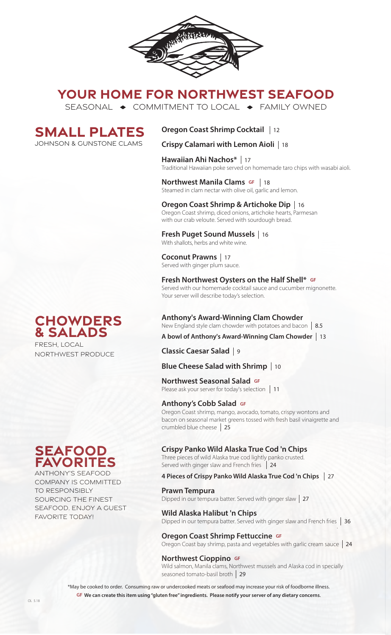

## **YOUR HOME FOR NORTHWEST SEAFOOD**

SEASONAL  $\rightarrow$  COMMITMENT TO LOCAL  $\rightarrow$  FAMILY OWNED

**SMALL PLATES** Johnson & GUnstone clams

**Oregon Coast Shrimp Cocktail**  12

**Crispy Calamari with Lemon Aioli**  18

**Hawaiian Ahi Nachos\***  17 Traditional Hawaiian poke served on homemade taro chips with wasabi aioli.

**Northwest Manila Clams GF** | 18 **NOT LITIVEST MATTILE CIATTIS SIMPLE 16**<br>Steamed in clam nectar with olive oil, garlic and lemon.

**Oregon Coast Shrimp & Artichoke Dip**  16 Oregon Coast shrimp, diced onions, artichoke hearts, Parmesan with our crab veloute. Served with sourdough bread.

**Fresh Puget Sound Mussels**  16 With shallots, herbs and white wine.

**Coconut Prawns** 17 Served with ginger plum sauce.

**Fresh Northwest Oysters on the Half Shell\* GF** Served with our homemade cocktail sauce and cucumber mignonette. Your server will describe today's selection.

**Anthony's Award-Winning Clam Chowder** 

New England style clam chowder with potatoes and bacon 8.5 **A bowl of Anthony's Award-Winning Clam Chowder**  13

**Classic Caesar Salad**  9

**Blue Cheese Salad with Shrimp**  10

**Northwest Seasonal Salad GF**

**TOI LITWEST SEASOTIAT SATACE SET 11**<br>Please ask your server for today's selection | 11

## **Anthony's Cobb Salad GF**

Oregon Coast shrimp, mango, avocado, tomato, crispy wontons and bacon on seasonal market greens tossed with fresh basil vinaigrette and crumbled blue cheese 25

## **Crispy Panko Wild Alaska True Cod 'n Chips**

Three pieces of wild Alaska true cod lightly panko crusted. Served with ginger slaw and French fries 24

## **4 Pieces of Crispy Panko Wild Alaska True Cod 'n Chips**  27

**Prawn Tempura**<br>Dipped in our tempura batter. Served with ginger slaw | 27

**Wild Alaska Halibut 'n Chips** Dipped in our tempura batter. Served with ginger slaw and French fries.  36

## **Oregon Coast Shrimp Fettuccine GF**

Oregon Coast bay shrimp, pasta and vegetables with garlic cream sauce 24

## **Northwest Cioppino GF**

Wild salmon, Manila clams, Northwest mussels and Alaska cod in specially seasoned tomato-basil broth  29

\*May be cooked to order. Consuming raw or undercooked meats or seafood may increase your risk of foodborne illness. **GF We can create this item using "gluten free" ingredients. Please notify your server of any dietary concerns**.

## **Chowders & Salads**

FRESH, LOCAL NORTHWEST PRODUCE

## **seafood favorites**

ANTHONY'S SEAFOOD COMPANY IS COMMITTED TO RESPONSIBLY SOURCING THE FINEST SEAFOOD. ENJOY A GUEST FAVORITE TODAY!